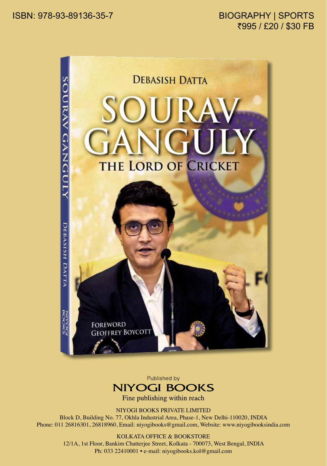

Published by **NIYOGI BOOKS** 

Fine publishing within reach

NIYOGI BOOKS PRIVATE LIMITED

Block D, Building No. 77, Okhla Industrial Area, Phase-1, New Delhi-110020, INDIA Phone: 011 26816301, 26818960, Email: niyogibooks@gmail.com, Website: www.niyogibooksindia.com

## KOLKATA OFFICE & BOOKSTORE

12/1A, 1st Floor, Bankim Chatterjee Street, Kolkata - 700073, West Bengal, INDIA Ph: 033 22410001 • e-mail: niyogibooks.kol@gmail.com